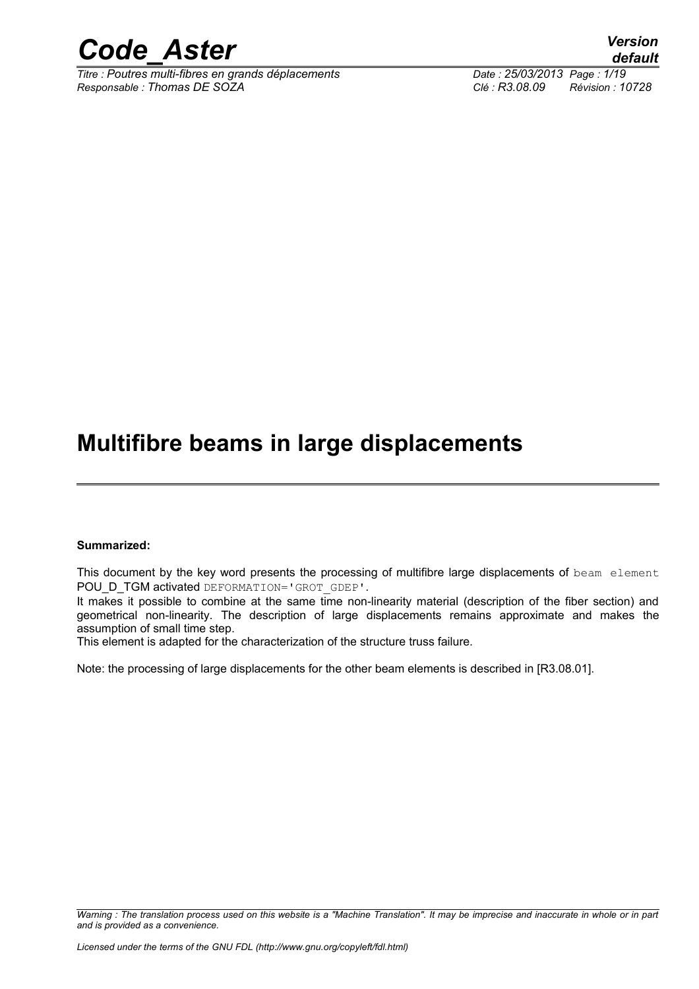

*Titre : Poutres multi-fibres en grands déplacements Date : 25/03/2013 Page : 1/19 Responsable : Thomas DE SOZA Clé : R3.08.09 Révision : 10728*

### **Multifibre beams in large displacements**

#### **Summarized:**

This document by the key word presents the processing of multifibre large displacements of beam element POU D TGM activated DEFORMATION='GROT\_GDEP'.

It makes it possible to combine at the same time non-linearity material (description of the fiber section) and geometrical non-linearity. The description of large displacements remains approximate and makes the assumption of small time step.

This element is adapted for the characterization of the structure truss failure.

Note: the processing of large displacements for the other beam elements is described in [R3.08.01].

*Warning : The translation process used on this website is a "Machine Translation". It may be imprecise and inaccurate in whole or in part and is provided as a convenience.*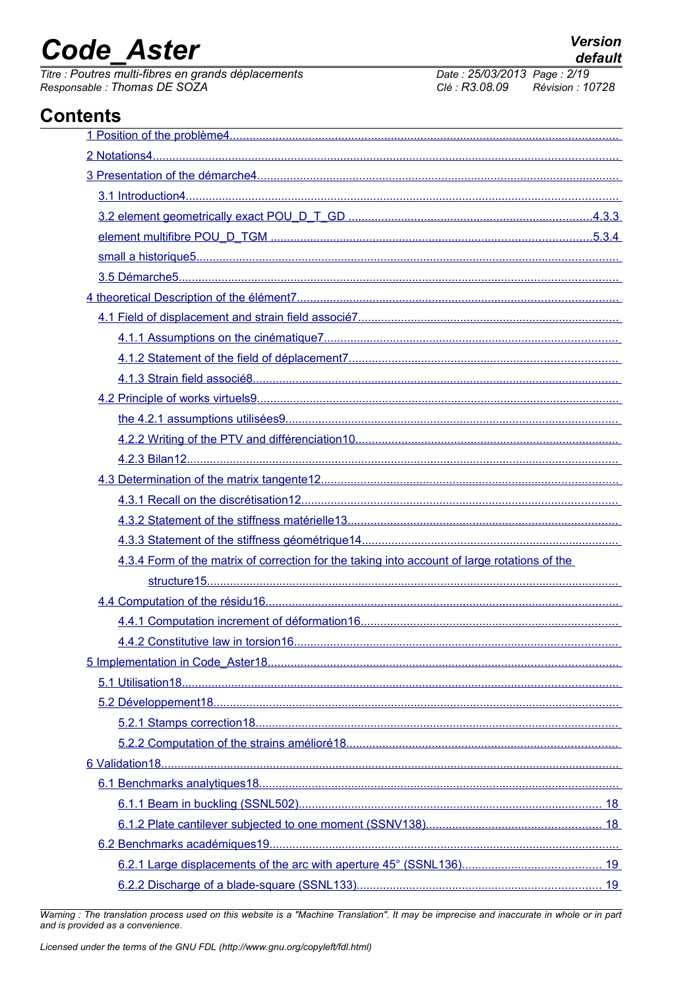# **Code Aster**

Titre : Poutres multi-fibres en grands déplacements Responsable : Thomas DE SOZA

**Version** 

default

### **Contents**

| 4.3.4 Form of the matrix of correction for the taking into account of large rotations of the |
|----------------------------------------------------------------------------------------------|
|                                                                                              |
|                                                                                              |
|                                                                                              |
|                                                                                              |
|                                                                                              |
|                                                                                              |
|                                                                                              |
|                                                                                              |
|                                                                                              |
|                                                                                              |
|                                                                                              |
|                                                                                              |
|                                                                                              |
|                                                                                              |
|                                                                                              |
|                                                                                              |

Warning: The translation process used on this website is a "Machine Translation". It may be imprecise and inaccurate in whole or in part and is provided as a convenience.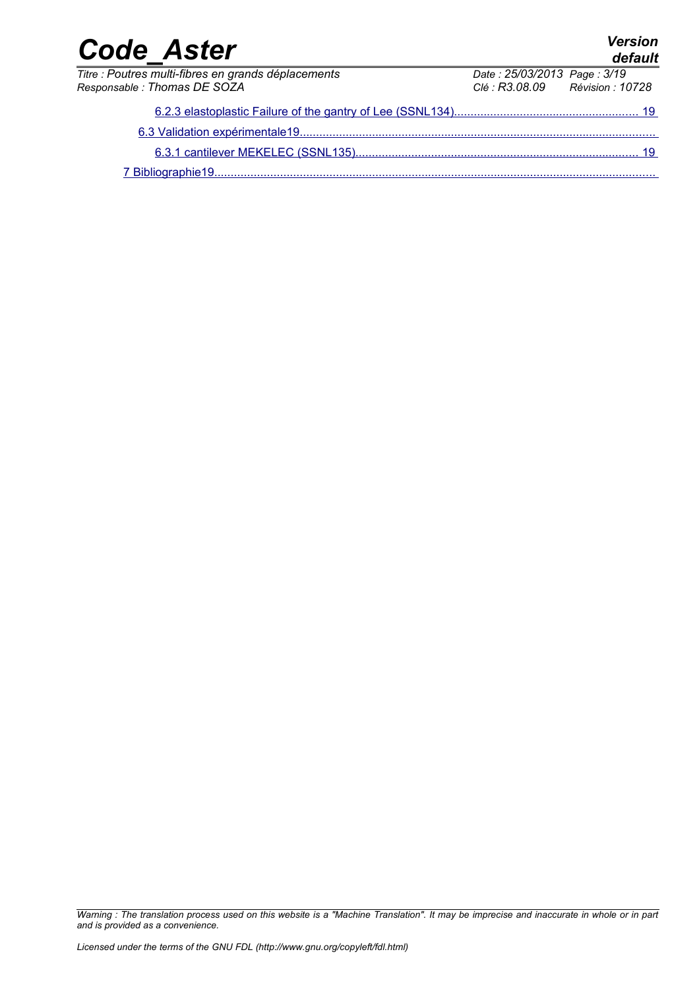| <b>Code Aster</b>                                   |                                 | <b>Version</b><br>default |
|-----------------------------------------------------|---------------------------------|---------------------------|
| Titre : Poutres multi-fibres en grands déplacements | Date: 25/03/2013 Page: 3/19     |                           |
| Responsable : Thomas DE SOZA                        | Clé : R3.08.09 Révision : 10728 |                           |
|                                                     |                                 |                           |
|                                                     |                                 |                           |
|                                                     |                                 |                           |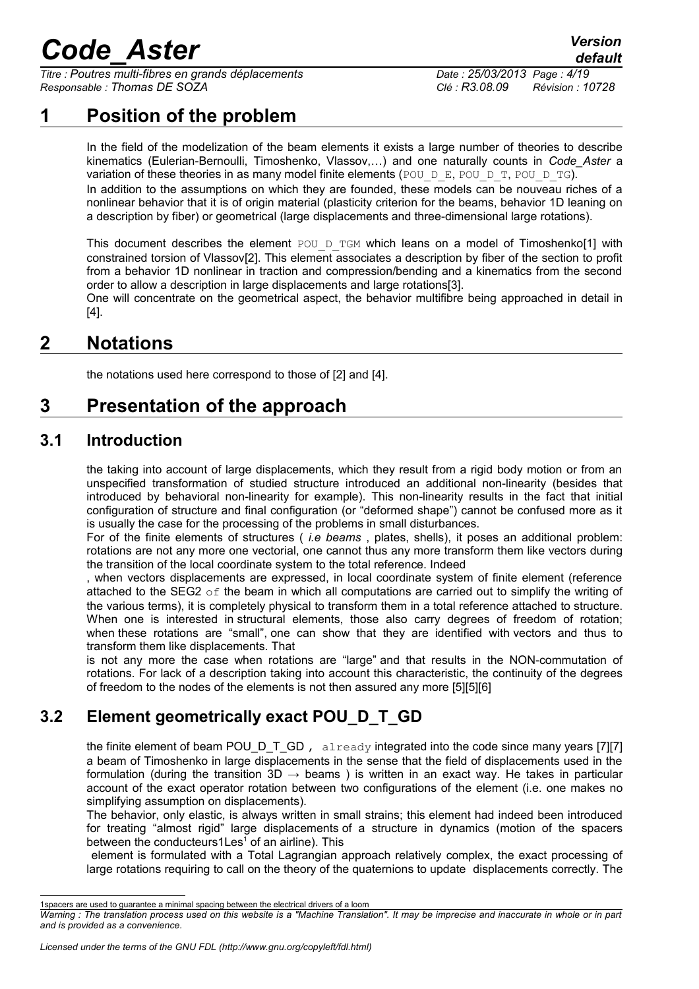*Titre : Poutres multi-fibres en grands déplacements Date : 25/03/2013 Page : 4/19 Responsable : Thomas DE SOZA Clé : R3.08.09 Révision : 10728*

### **1 Position of the problem**

<span id="page-3-0"></span>In the field of the modelization of the beam elements it exists a large number of theories to describe kinematics (Eulerian-Bernoulli, Timoshenko, Vlassov,…) and one naturally counts in *Code\_Aster* a variation of these theories in as many model finite elements (POU  $D$  E, POU  $D$  T, POU  $D$  TG). In addition to the assumptions on which they are founded, these models can be nouveau riches of a nonlinear behavior that it is of origin material (plasticity criterion for the beams, behavior 1D leaning on a description by fiber) or geometrical (large displacements and three-dimensional large rotations).

This document describes the element POU D TGM which leans on a model of Timoshenko[1] with constrained torsion of Vlassov[2]. This element associates a description by fiber of the section to profit from a behavior 1D nonlinear in traction and compression/bending and a kinematics from the second order to allow a description in large displacements and large rotations[3].

One will concentrate on the geometrical aspect, the behavior multifibre being approached in detail in [4].

### **2 Notations**

<span id="page-3-4"></span><span id="page-3-3"></span>the notations used here correspond to those of [2] and [4].

### **3 Presentation of the approach**

### **3.1 Introduction**

<span id="page-3-2"></span>the taking into account of large displacements, which they result from a rigid body motion or from an unspecified transformation of studied structure introduced an additional non-linearity (besides that introduced by behavioral non-linearity for example). This non-linearity results in the fact that initial configuration of structure and final configuration (or "deformed shape") cannot be confused more as it is usually the case for the processing of the problems in small disturbances.

For of the finite elements of structures ( *i.e beams* , plates, shells), it poses an additional problem: rotations are not any more one vectorial, one cannot thus any more transform them like vectors during the transition of the local coordinate system to the total reference. Indeed

, when vectors displacements are expressed, in local coordinate system of finite element (reference attached to the SEG2  $\circ$  f the beam in which all computations are carried out to simplify the writing of the various terms), it is completely physical to transform them in a total reference attached to structure. When one is interested in structural elements, those also carry degrees of freedom of rotation; when these rotations are "small", one can show that they are identified with vectors and thus to transform them like displacements. That

is not any more the case when rotations are "large" and that results in the NON-commutation of rotations. For lack of a description taking into account this characteristic, the continuity of the degrees of freedom to the nodes of the elements is not then assured any more [5][5][6]

### **3.2 Element geometrically exact POU\_D\_T\_GD**

<span id="page-3-1"></span>the finite element of beam POU\_D\_T\_GD, already integrated into the code since many years [7][7] a beam of Timoshenko in large displacements in the sense that the field of displacements used in the formulation (during the transition 3D  $\rightarrow$  beams) is written in an exact way. He takes in particular account of the exact operator rotation between two configurations of the element (i.e. one makes no simplifying assumption on displacements).

The behavior, only elastic, is always written in small strains; this element had indeed been introduced for treating "almost rigid" large displacements of a structure in dynamics (motion of the spacers between the conducteurs[1](#page-3-5)Les<sup> $1$ </sup> of an airline). This

element is formulated with a Total Lagrangian approach relatively complex, the exact processing of large rotations requiring to call on the theory of the quaternions to update displacements correctly. The

<span id="page-3-5"></span><sup>1</sup>spacers are used to guarantee a minimal spacing between the electrical drivers of a loom

*Warning : The translation process used on this website is a "Machine Translation". It may be imprecise and inaccurate in whole or in part and is provided as a convenience.*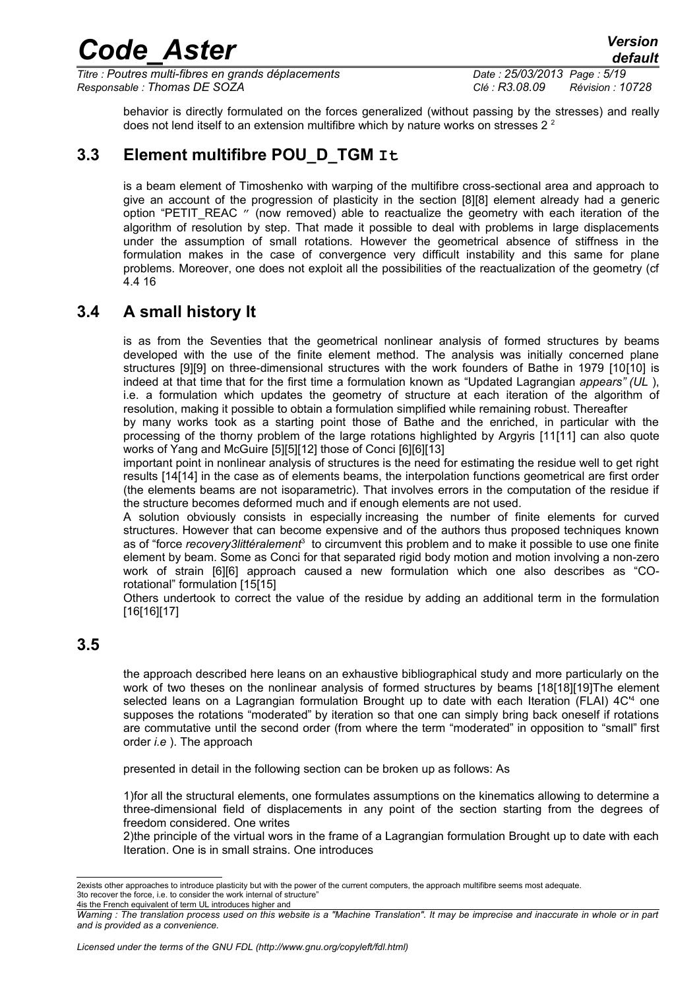*Titre : Poutres multi-fibres en grands déplacements Date : 25/03/2013 Page : 5/19 Responsable : Thomas DE SOZA Clé : R3.08.09 Révision : 10728*

*default*

behavior is directly formulated on the forces generalized (without passing by the stresses) and really does not lend itself to an extension multifibre which by nature works on stresses  $2<sup>2</sup>$  $2<sup>2</sup>$ 

### **3.3 Element multifibre POU\_D\_TGM It**

<span id="page-4-2"></span>is a beam element of Timoshenko with warping of the multifibre cross-sectional area and approach to give an account of the progression of plasticity in the section [8][8] element already had a generic option "PETIT\_REAC " (now removed) able to reactualize the geometry with each iteration of the algorithm of resolution by step. That made it possible to deal with problems in large displacements under the assumption of small rotations. However the geometrical absence of stiffness in the formulation makes in the case of convergence very difficult instability and this same for plane problems. Moreover, one does not exploit all the possibilities of the reactualization of the geometry (cf 4.4 [16](#page-15-1)

### **3.4 A small history It**

<span id="page-4-1"></span>is as from the Seventies that the geometrical nonlinear analysis of formed structures by beams developed with the use of the finite element method. The analysis was initially concerned plane structures [9][9] on three-dimensional structures with the work founders of Bathe in 1979 [10[10] is indeed at that time that for the first time a formulation known as "Updated Lagrangian *appears" (UL* ), i.e. a formulation which updates the geometry of structure at each iteration of the algorithm of resolution, making it possible to obtain a formulation simplified while remaining robust. Thereafter

by many works took as a starting point those of Bathe and the enriched, in particular with the processing of the thorny problem of the large rotations highlighted by Argyris [11[11] can also quote works of Yang and McGuire [5][5][12] those of Conci [6][6][13]

important point in nonlinear analysis of structures is the need for estimating the residue well to get right results [14[14] in the case as of elements beams, the interpolation functions geometrical are first order (the elements beams are not isoparametric). That involves errors in the computation of the residue if the structure becomes deformed much and if enough elements are not used.

A solution obviously consists in especially increasing the number of finite elements for curved structures. However that can become expensive and of the authors thus proposed techniques known as of "force *recovery[3](#page-4-4)littéralement*<sup>3</sup> to circumvent this problem and to make it possible to use one finite element by beam. Some as Conci for that separated rigid body motion and motion involving a non-zero work of strain [6][6] approach caused a new formulation which one also describes as "COrotational" formulation [15[15]

Others undertook to correct the value of the residue by adding an additional term in the formulation [16[16][17]

### **3.5**

<span id="page-4-0"></span>the approach described here leans on an exhaustive bibliographical study and more particularly on the work of two theses on the nonlinear analysis of formed structures by beams [18[18][19]The element selected leans on a Lagrangian formulation Brought up to date with each Iteration (FLAI) [4](#page-4-5)C<sup>14</sup> one supposes the rotations "moderated" by iteration so that one can simply bring back oneself if rotations are commutative until the second order (from where the term "moderated" in opposition to "small" first order *i.e* ). The approach

presented in detail in the following section can be broken up as follows: As

1)for all the structural elements, one formulates assumptions on the kinematics allowing to determine a three-dimensional field of displacements in any point of the section starting from the degrees of freedom considered. One writes

2)the principle of the virtual wors in the frame of a Lagrangian formulation Brought up to date with each Iteration. One is in small strains. One introduces

<span id="page-4-4"></span><span id="page-4-3"></span><sup>2</sup>exists other approaches to introduce plasticity but with the power of the current computers, the approach multifibre seems most adequate. 3to recover the force, i.e. to consider the work internal of structure' 4is the French equivalent of term UL introduces higher and

<span id="page-4-5"></span>*Warning : The translation process used on this website is a "Machine Translation". It may be imprecise and inaccurate in whole or in part and is provided as a convenience.*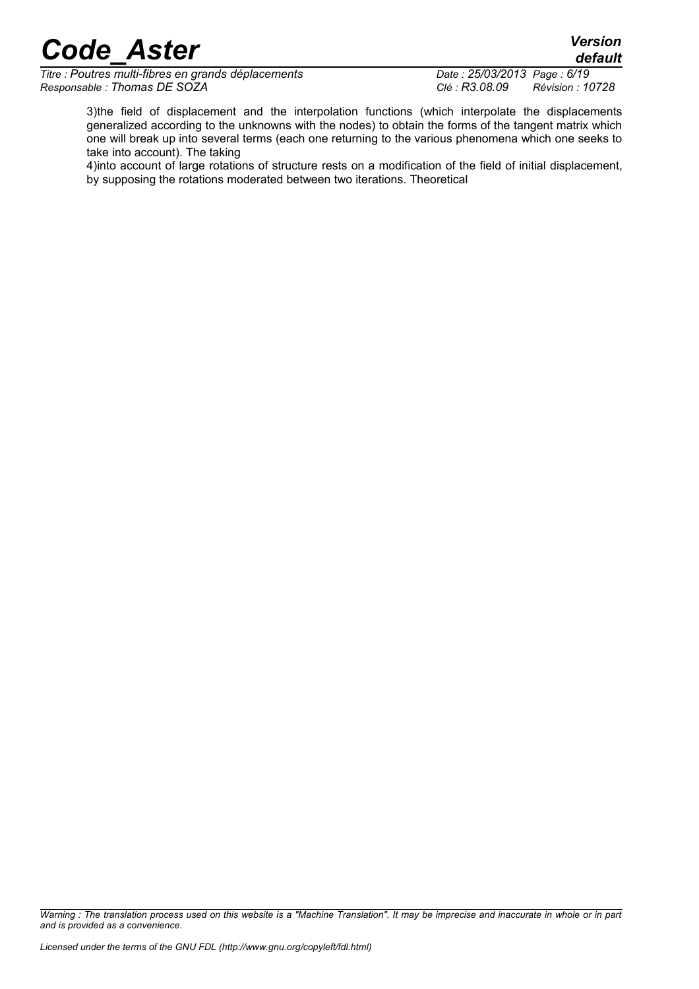*Titre : Poutres multi-fibres en grands déplacements Date : 25/03/2013 Page : 6/19 Responsable : Thomas DE SOZA Clé : R3.08.09 Révision : 10728*

3)the field of displacement and the interpolation functions (which interpolate the displacements generalized according to the unknowns with the nodes) to obtain the forms of the tangent matrix which one will break up into several terms (each one returning to the various phenomena which one seeks to take into account). The taking

4)into account of large rotations of structure rests on a modification of the field of initial displacement, by supposing the rotations moderated between two iterations. Theoretical

*Warning : The translation process used on this website is a "Machine Translation". It may be imprecise and inaccurate in whole or in part and is provided as a convenience.*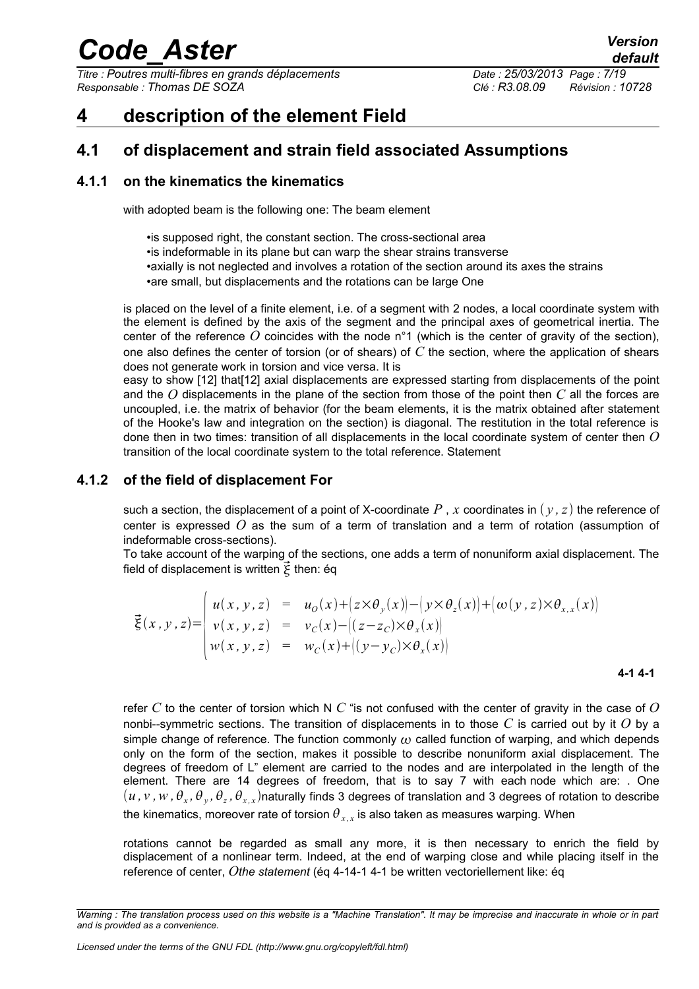*Titre : Poutres multi-fibres en grands déplacements Date : 25/03/2013 Page : 7/19 Responsable : Thomas DE SOZA Clé : R3.08.09 Révision : 10728*

### <span id="page-6-3"></span>**4 description of the element Field**

#### <span id="page-6-2"></span>**4.1 of displacement and strain field associated Assumptions**

#### **4.1.1 on the kinematics the kinematics**

<span id="page-6-1"></span>with adopted beam is the following one: The beam element

•is supposed right, the constant section. The cross-sectional area •is indeformable in its plane but can warp the shear strains transverse •axially is not neglected and involves a rotation of the section around its axes the strains •are small, but displacements and the rotations can be large One

is placed on the level of a finite element, i.e. of a segment with 2 nodes, a local coordinate system with the element is defined by the axis of the segment and the principal axes of geometrical inertia. The center of the reference  $O$  coincides with the node  $n^{\circ}1$  (which is the center of gravity of the section), one also defines the center of torsion (or of shears) of *C* the section, where the application of shears does not generate work in torsion and vice versa. It is

easy to show [12] that[12] axial displacements are expressed starting from displacements of the point and the *O* displacements in the plane of the section from those of the point then *C* all the forces are uncoupled, i.e. the matrix of behavior (for the beam elements, it is the matrix obtained after statement of the Hooke's law and integration on the section) is diagonal. The restitution in the total reference is done then in two times: transition of all displacements in the local coordinate system of center then *O* transition of the local coordinate system to the total reference. Statement

#### **4.1.2 of the field of displacement For**

<span id="page-6-0"></span>such a section, the displacement of a point of X-coordinate  $P$ ,  $x$  coordinates in  $(y, z)$  the reference of center is expressed *O* as the sum of a term of translation and a term of rotation (assumption of indeformable cross-sections).

To take account of the warping of the sections, one adds a term of nonuniform axial displacement. The field of displacement is written  $\vec{\xi}$  then: éq

$$
\vec{\xi}(x, y, z) = \begin{cases} u(x, y, z) &= u_0(x) + (z \times \theta_y(x)) - (y \times \theta_z(x)) + (\omega(y, z) \times \theta_{x, x}(x)) \\ v(x, y, z) &= v_c(x) - ((z - z_c) \times \theta_x(x)) \\ w(x, y, z) &= w_c(x) + ((y - y_c) \times \theta_x(x)) \end{cases}
$$

<span id="page-6-4"></span>**4-1 4-1**

refer *C* to the center of torsion which N *C* "is not confused with the center of gravity in the case of *O* nonbi--symmetric sections. The transition of displacements in to those *C* is carried out by it *O* by a simple change of reference. The function commonly  $\omega$  called function of warping, and which depends only on the form of the section, makes it possible to describe nonuniform axial displacement. The degrees of freedom of L" element are carried to the nodes and are interpolated in the length of the element. There are 14 degrees of freedom, that is to say 7 with each node which are: . One  $(u$  *,*  $v$  *,*  $w$  *,*  $\theta_x$  *,*  $\theta_y$  *,*  $\theta_z$  *,*  $\theta_{x,x}$ *)naturally finds 3 degrees of translation and 3 degrees of rotation to describe* the kinematics, moreover rate of torsion  $\theta_{\scriptscriptstyle{X,X}}$  is also taken as measures warping. When

rotations cannot be regarded as small any more, it is then necessary to enrich the field by displacement of a nonlinear term. Indeed, at the end of warping close and while placing itself in the reference of center, *Othe statement* (éq 4-[14-1 4-1](#page-6-4) be written vectoriellement like: éq

*Warning : The translation process used on this website is a "Machine Translation". It may be imprecise and inaccurate in whole or in part and is provided as a convenience.*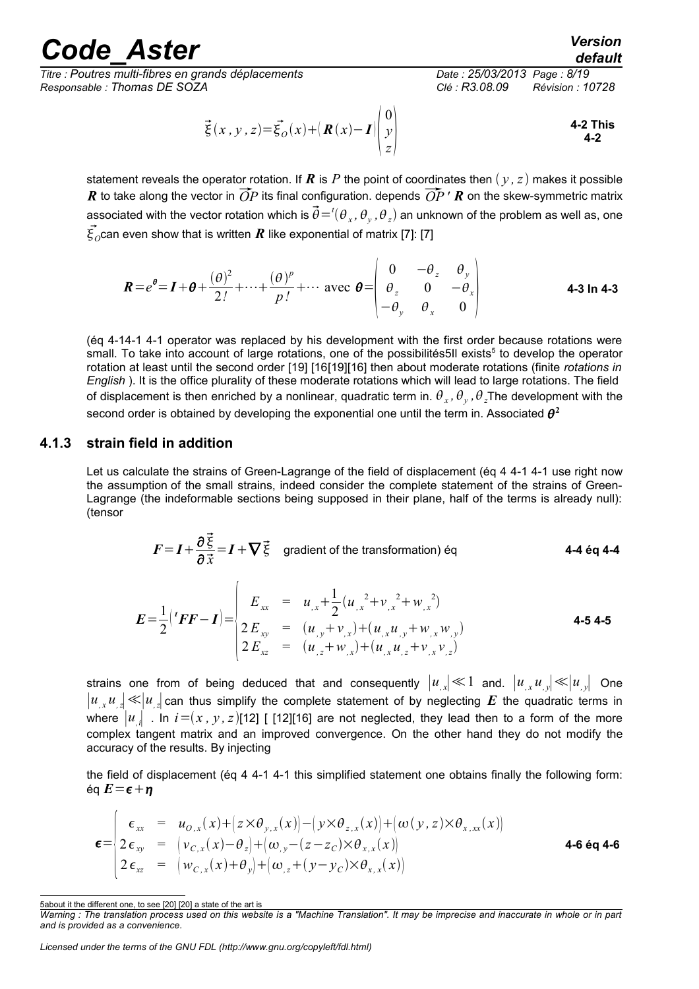*Titre : Poutres multi-fibres en grands déplacements Date : 25/03/2013 Page : 8/19 Responsable : Thomas DE SOZA Clé : R3.08.09 Révision : 10728*

$$
\vec{\xi}(x, y, z) = \vec{\xi}_O(x) + \left(R(x) - I\right) \begin{pmatrix} 0 \\ y \\ z \end{pmatrix}
$$
 4-2 This

statement reveals the operator rotation. If  $\bf{R}$  is  $\bf{P}$  the point of coordinates then  $(y, z)$  makes it possible *R* to take along the vector in  $\overrightarrow{OP}$  its final configuration. depends  $\overrightarrow{OP}$  *'R* on the skew-symmetric matrix associated with the vector rotation which is  $\vec{\theta} = ^{t}(\theta_{_X},\theta_{_Y},\theta_{_Z})$  an unknown of the problem as well as, one  $\vec{\xi_o}$ can even show that is written  $\pmb{R}$  like exponential of matrix [7]: [7]

$$
\boldsymbol{R} = e^{\boldsymbol{\theta}} = \boldsymbol{I} + \boldsymbol{\theta} + \frac{(\boldsymbol{\theta})^2}{2!} + \dots + \frac{(\boldsymbol{\theta})^p}{p!} + \dots \text{ avec } \boldsymbol{\theta} = \begin{vmatrix} 0 & -\theta_z & \theta_y \\ \theta_z & 0 & -\theta_x \\ -\theta_y & \theta_x & 0 \end{vmatrix}
$$
 4-3 ln 4-3

(éq 4-[14-1 4-1](#page-6-4) operator was replaced by his development with the first order because rotations were small. To take into account of large rotations, one of the possibilités[5](#page-7-1)ll exists<sup>5</sup> to develop the operator rotation at least until the second order [19] [16[19][16] then about moderate rotations (finite *rotations in English* ). It is the office plurality of these moderate rotations which will lead to large rotations. The field of displacement is then enriched by a nonlinear, quadratic term in.  $\theta_x$ ,  $\theta_y$ ,  $\theta_z$ The development with the second order is obtained by developing the exponential one until the term in. Associated  $\boldsymbol{\theta}^2$ 

#### **4.1.3 strain field in addition**

<span id="page-7-0"></span>Let us calculate the strains of Green-Lagrange of the field of displacement (ég 4 [4-1 4-1](#page-6-4) use right now the assumption of the small strains, indeed consider the complete statement of the strains of Green-Lagrange (the indeformable sections being supposed in their plane, half of the terms is already null): (tensor

$$
F = I + \frac{\partial \vec{\xi}}{\partial \vec{x}} = I + \nabla \vec{\xi}
$$
gradient of the transformation) eq  
4-4 eq 4-4  

$$
E_{xx} = u_{,x} + \frac{1}{2} (u_{,x}^{2} + v_{,x}^{2} + w_{,x}^{2})
$$

$$
E = \frac{1}{2} \left( {}^{t}F F - I \right) = \begin{cases} E_{xx} = u_{,x} + \frac{1}{2} (u_{,x}^{2} + v_{,x}^{2} + w_{,x}^{2}) \\ 2 E_{xy} = (u_{,y} + v_{,x}) + (u_{,x} u_{,y} + w_{,x} w_{,y}) \\ 2 E_{xz} = (u_{,z} + w_{,x}) + (u_{,x} u_{,z} + v_{,x} v_{,z}) \end{cases}
$$
 4-5 4-5

strains one from of being deduced that and consequently ∣*u, <sup>x</sup>*∣≪1 and. ∣*u, <sup>x</sup> u, <sup>y</sup>*∣≪∣*u, <sup>y</sup>*∣ One  $|u|$ , *u*<sub>z</sub> $| \ll |u|$  can thus simplify the complete statement of by neglecting *E* the quadratic terms in where  $|u_{i}|$ . In  $i = (x, y, z)$ [12] [ [12][16] are not neglected, they lead then to a form of the more complex tangent matrix and an improved convergence. On the other hand they do not modify the accuracy of the results. By injecting

the field of displacement (éq 4 [4-1 4-1](#page-6-4) this simplified statement one obtains finally the following form: éq  $E = \epsilon + \eta$ 

<span id="page-7-2"></span>
$$
\epsilon = \begin{cases}\n\epsilon_{xx} = u_{0,x}(x) + (z \times \theta_{y,x}(x)) - (y \times \theta_{z,x}(x)) + (\omega(y,z) \times \theta_{x,xx}(x)) \\
2 \epsilon_{xy} = (v_{C,x}(x) - \theta_z) + (\omega_{,y} - (z - z_C) \times \theta_{x,x}(x)) \\
2 \epsilon_{xz} = (w_{C,x}(x) + \theta_y) + (\omega_{,z} + (y - y_C) \times \theta_{x,x}(x))\n\end{cases}
$$
\n4-6 6q 4-6

*Licensed under the terms of the GNU FDL (http://www.gnu.org/copyleft/fdl.html)*

<span id="page-7-1"></span><sup>5</sup>about it the different one, to see [20] [20] a state of the art is

*Warning : The translation process used on this website is a "Machine Translation". It may be imprecise and inaccurate in whole or in part and is provided as a convenience.*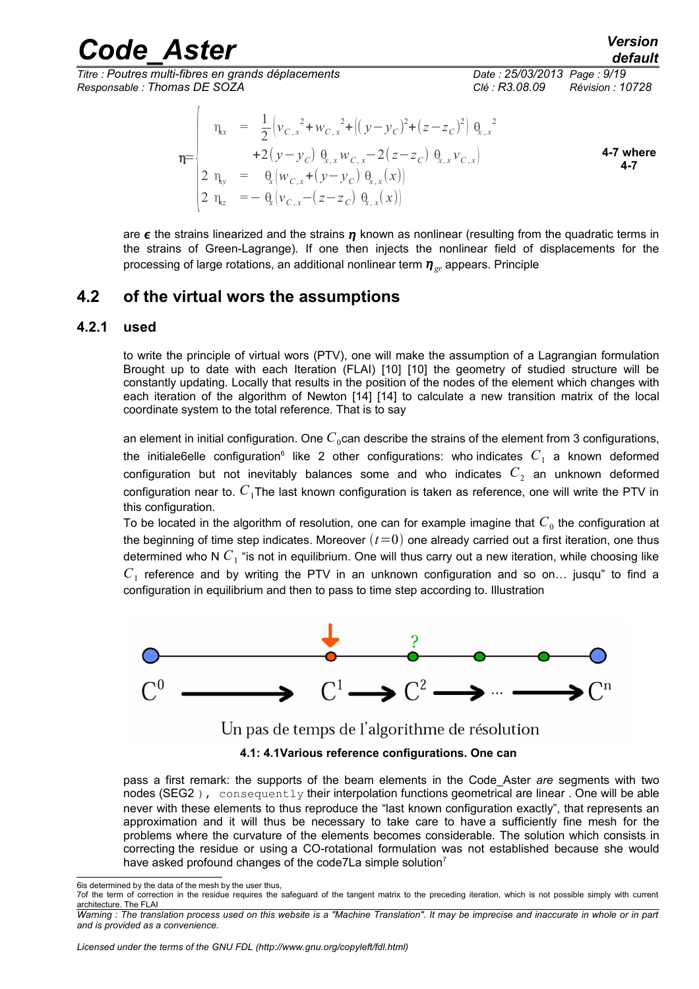*Titre : Poutres multi-fibres en grands déplacements Date : 25/03/2013 Page : 9/19 Responsable : Thomas DE SOZA Clé : R3.08.09 Révision : 10728*

$$
\eta_{xx} = \frac{1}{2} \Big( v_{C,x}^2 + w_{C,x}^2 + \Big( (y - y_C)^2 + (z - z_C)^2 \Big) \Big|_{x,x}^2 + 2(y - y_C) \Big|_{x,x}^2 w_{C,x} - 2(z - z_C) \Big|_{x,x}^2 v_{C,x} \Big)
$$
\n4-7 where\n
$$
\begin{array}{rcl}\n2 \eta_{xy} &=& \theta_x \big( w_{C,x} + (y - y_C) \Big|_{x,x}^2(x) \big) \\
2 \eta_{zz} &=& -\theta_x \big( v_{C,x} - (z - z_C) \Big|_{x,x}^2(x) \big)\n\end{array}
$$

are  $\epsilon$  the strains linearized and the strains  $\eta$  known as nonlinear (resulting from the quadratic terms in the strains of Green-Lagrange). If one then injects the nonlinear field of displacements for the processing of large rotations, an additional nonlinear term  $\eta_{cr}$  appears. Principle

#### <span id="page-8-1"></span>**4.2 of the virtual wors the assumptions**

#### **4.2.1 used**

<span id="page-8-0"></span>to write the principle of virtual wors (PTV), one will make the assumption of a Lagrangian formulation Brought up to date with each Iteration (FLAI) [10] [10] the geometry of studied structure will be constantly updating. Locally that results in the position of the nodes of the element which changes with each iteration of the algorithm of Newton [14] [14] to calculate a new transition matrix of the local coordinate system to the total reference. That is to say

an element in initial configuration. One  $C_0$ can describe the strains of the element from 3 configurations, the initiale[6](#page-8-2)elle configuration<sup>6</sup> like 2 other configurations: who indicates  $C^{\phantom{\dagger}}_1$  a known deformed configuration but not inevitably balances some and who indicates  $C_2$  an unknown deformed configuration near to. *C*1The last known configuration is taken as reference, one will write the PTV in this configuration.

To be located in the algorithm of resolution, one can for example imagine that  $C^{\vphantom{\dagger}}_0$  the configuration at the beginning of time step indicates. Moreover  $(t=0)$  one already carried out a first iteration, one thus determined who N  $C_{1}$  "is not in equilibrium. One will thus carry out a new iteration, while choosing like  $C_1$  reference and by writing the PTV in an unknown configuration and so on... jusqu" to find a configuration in equilibrium and then to pass to time step according to. Illustration



Un pas de temps de l'algorithme de résolution

#### **4.1: 4.1Various reference configurations. One can**

pass a first remark: the supports of the beam elements in the Code\_Aster *are* segments with two nodes (SEG2), consequently their interpolation functions geometrical are linear. One will be able never with these elements to thus reproduce the "last known configuration exactly", that represents an approximation and it will thus be necessary to take care to have a sufficiently fine mesh for the problems where the curvature of the elements becomes considerable. The solution which consists in correcting the residue or using a CO-rotational formulation was not established because she would have asked profound changes of the code[7](#page-8-3)La simple solution<sup>7</sup>

<span id="page-8-2"></span><sup>6</sup>is determined by the data of the mesh by the user thus,

<span id="page-8-3"></span><sup>7</sup>of the term of correction in the residue requires the safeguard of the tangent matrix to the preceding iteration, which is not possible simply with current architecture. The FLAI

*Warning : The translation process used on this website is a "Machine Translation". It may be imprecise and inaccurate in whole or in part and is provided as a convenience.*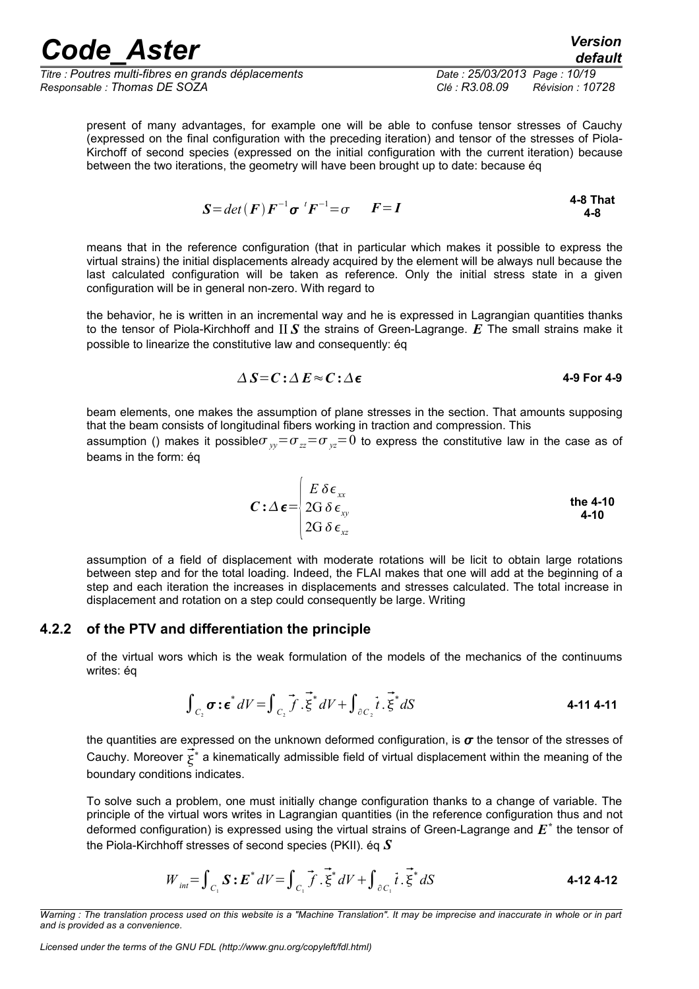*Titre : Poutres multi-fibres en grands déplacements Date : 25/03/2013 Page : 10/19 Responsable : Thomas DE SOZA Clé : R3.08.09 Révision : 10728*

<span id="page-9-3"></span><span id="page-9-1"></span>

present of many advantages, for example one will be able to confuse tensor stresses of Cauchy (expressed on the final configuration with the preceding iteration) and tensor of the stresses of Piola-Kirchoff of second species (expressed on the initial configuration with the current iteration) because between the two iterations, the geometry will have been brought up to date: because éq

$$
S = det(F) F^{-1} \sigma^T F^{-1} = \sigma \qquad F = I
$$

means that in the reference configuration (that in particular which makes it possible to express the virtual strains) the initial displacements already acquired by the element will be always null because the last calculated configuration will be taken as reference. Only the initial stress state in a given configuration will be in general non-zero. With regard to

the behavior, he is written in an incremental way and he is expressed in Lagrangian quantities thanks to the tensor of Piola-Kirchhoff and II *S* the strains of Green-Lagrange. *E* The small strains make it possible to linearize the constitutive law and consequently: éq

$$
\Delta S = C : \Delta E \approx C : \Delta \epsilon
$$
 4-9 For 4-9

beam elements, one makes the assumption of plane stresses in the section. That amounts supposing that the beam consists of longitudinal fibers working in traction and compression. This

assumption () makes it possible  $\sigma_{v} = \sigma_{zz} = \sigma_{v} = 0$  to express the constitutive law in the case as of beams in the form: éq

<span id="page-9-4"></span>
$$
C: \Delta \boldsymbol{\epsilon} = \begin{cases} E \, \delta \boldsymbol{\epsilon}_{xx} \\ 2G \, \delta \, \boldsymbol{\epsilon}_{xy} \\ 2G \, \delta \, \boldsymbol{\epsilon}_{xz} \end{cases}
$$
 the 4-10

assumption of a field of displacement with moderate rotations will be licit to obtain large rotations between step and for the total loading. Indeed, the FLAI makes that one will add at the beginning of a step and each iteration the increases in displacements and stresses calculated. The total increase in displacement and rotation on a step could consequently be large. Writing

#### **4.2.2 of the PTV and differentiation the principle**

<span id="page-9-0"></span>of the virtual wors which is the weak formulation of the models of the mechanics of the continuums writes: éq

$$
\int_{C_2} \sigma : \epsilon^* dV = \int_{C_2} \vec{f} \cdot \vec{\xi}^* dV + \int_{\partial C_2} \vec{t} \cdot \vec{\xi}^* dS
$$
 4-11 4-11

the quantities are expressed on the unknown deformed configuration, is  $\sigma$  the tensor of the stresses of Cauchy. Moreover  $\vec{\xi}^*$  a kinematically admissible field of virtual displacement within the meaning of the boundary conditions indicates.

To solve such a problem, one must initially change configuration thanks to a change of variable. The principle of the virtual wors writes in Lagrangian quantities (in the reference configuration thus and not deformed configuration) is expressed using the virtual strains of Green-Lagrange and  $E^*$  the tensor of the Piola-Kirchhoff stresses of second species (PKII). éq *S*

<span id="page-9-2"></span>
$$
W_{int} = \int_{C_1} \mathbf{S} : \mathbf{E}^* dV = \int_{C_1} \vec{f} \cdot \vec{\xi}^* dV + \int_{\partial C_1} \vec{t} \cdot \vec{\xi}^* dS
$$

*Warning : The translation process used on this website is a "Machine Translation". It may be imprecise and inaccurate in whole or in part and is provided as a convenience.*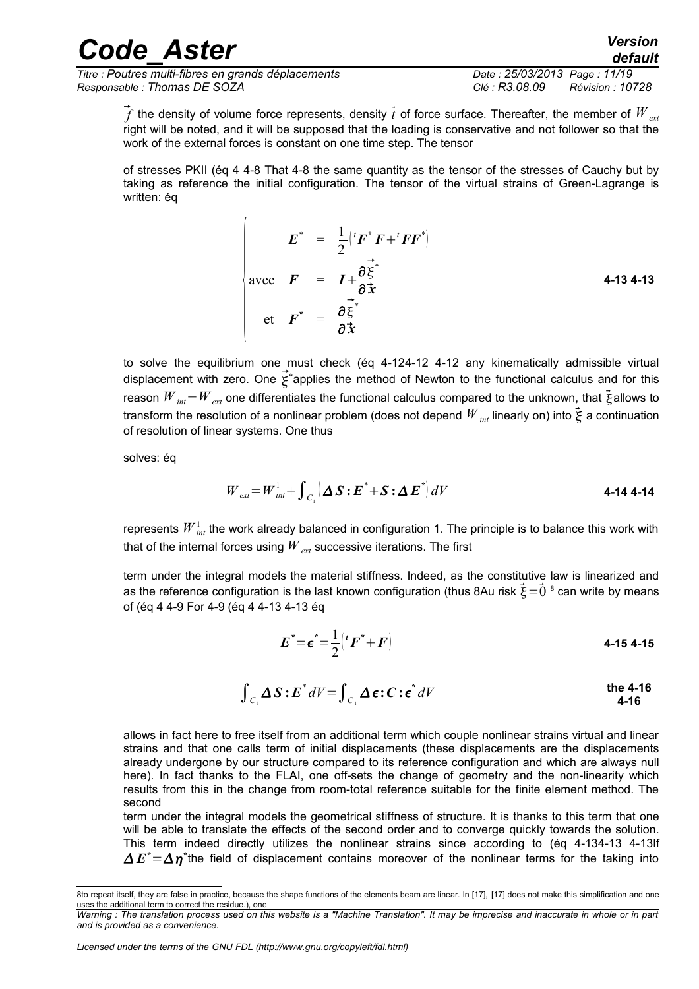*Titre : Poutres multi-fibres en grands déplacements Date : 25/03/2013 Page : 11/19 Responsable : Thomas DE SOZA Clé : R3.08.09 Révision : 10728*

<span id="page-10-0"></span>

 $\tilde{f}$  the density of volume force represents, density  $\tilde{t}$  of force surface. Thereafter, the member of  $W_{ext}$ right will be noted, and it will be supposed that the loading is conservative and not follower so that the work of the external forces is constant on one time step. The tensor

of stresses PKII (éq 4 [4-8 That 4-8](#page-9-3) the same quantity as the tensor of the stresses of Cauchy but by taking as reference the initial configuration. The tensor of the virtual strains of Green-Lagrange is written: ég

$$
E^* = \frac{1}{2} ({}^t F^* F + {}^t F F^*)
$$
  
avec  $F = I + \frac{\partial \vec{\xi}^*}{\partial \vec{x}}$   
etc  $F^* = \frac{\partial \vec{\xi}^*}{\partial \vec{x}}$  4-13 4-13

to solve the equilibrium one must check (éq 4-1[24-12 4-12](#page-9-2) any kinematically admissible virtual displacement with zero. One  $\vec{\xi}^*$ applies the method of Newton to the functional calculus and for this reason  $W_{int}$ − $W_{ext}$  one differentiates the functional calculus compared to the unknown, that  $\vec{\xi}$ allows to transform the resolution of a nonlinear problem (does not depend  $W_{int}$  linearly on) into  $\vec{\xi}$  a continuation of resolution of linear systems. One thus

solves: éq

$$
W_{ext} = W_{int}^{1} + \int_{C_1} \left( \Delta S : E^* + S : \Delta E^* \right) dV
$$
 4-14 4-14

represents  ${W}_{\textit{int}}^{1}$  the work already balanced in configuration 1. The principle is to balance this work with that of the internal forces using *W ext* successive iterations. The first

term under the integral models the material stiffness. Indeed, as the constitutive law is linearized and as the reference configuration is the last known configuration (thus [8](#page-10-1)Au risk  $\dot{\xi}\!=\!0$   $^{\rm 8}$  can write by means of (éq 4 [4-9 For 4-9](#page-9-1) (éq 4 [4-13 4-13](#page-10-0) éq

$$
E^* = \epsilon^* = \frac{1}{2} ({}^t F^* + F)
$$
 4-15 4-15

$$
\int_{C_1} \Delta S : E^* dV = \int_{C_1} \Delta \epsilon : C : \epsilon^* dV
$$
the 4-16  
4-16

allows in fact here to free itself from an additional term which couple nonlinear strains virtual and linear strains and that one calls term of initial displacements (these displacements are the displacements already undergone by our structure compared to its reference configuration and which are always null here). In fact thanks to the FLAI, one off-sets the change of geometry and the non-linearity which results from this in the change from room-total reference suitable for the finite element method. The second

term under the integral models the geometrical stiffness of structure. It is thanks to this term that one will be able to translate the effects of the second order and to converge quickly towards the solution. This term indeed directly utilizes the nonlinear strains since according to (éq 4-1[34-13 4-13I](#page-10-0)f  $\Delta\,E^*$   $=$   $\Delta\,\eta^*$ the field of displacement contains moreover of the nonlinear terms for the taking into

<span id="page-10-1"></span><sup>8</sup>to repeat itself, they are false in practice, because the shape functions of the elements beam are linear. In [17], [17] does not make this simplification and one uses the additional term to correct the residue.), one

*Warning : The translation process used on this website is a "Machine Translation". It may be imprecise and inaccurate in whole or in part and is provided as a convenience.*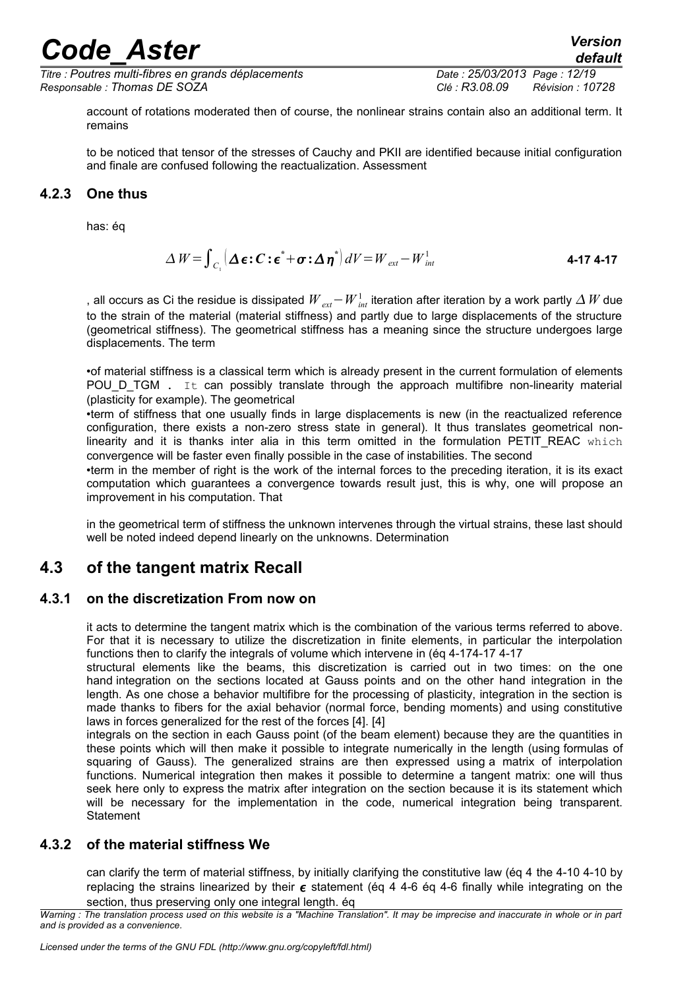*Titre : Poutres multi-fibres en grands déplacements Date : 25/03/2013 Page : 12/19 Responsable : Thomas DE SOZA Clé : R3.08.09 Révision : 10728*

<span id="page-11-4"></span>

account of rotations moderated then of course, the nonlinear strains contain also an additional term. It remains

to be noticed that tensor of the stresses of Cauchy and PKII are identified because initial configuration and finale are confused following the reactualization. Assessment

#### **4.2.3 One thus**

<span id="page-11-3"></span>has: éq

$$
\Delta W = \int_{C_1} \left[ \Delta \boldsymbol{\epsilon} : \boldsymbol{C} : \boldsymbol{\epsilon}^* + \boldsymbol{\sigma} : \Delta \boldsymbol{\eta}^* \right] dV = W_{ext} - W_{int}^1 \tag{4-17.4-17}
$$

, all occurs as Ci the residue is dissipated  $W_{_{ext}}-W_{_{int}}^{1}$  iteration after iteration by a work partly  $\varDelta$   $W$  due to the strain of the material (material stiffness) and partly due to large displacements of the structure (geometrical stiffness). The geometrical stiffness has a meaning since the structure undergoes large displacements. The term

•of material stiffness is a classical term which is already present in the current formulation of elements POU D TGM . It can possibly translate through the approach multifibre non-linearity material (plasticity for example). The geometrical

•term of stiffness that one usually finds in large displacements is new (in the reactualized reference configuration, there exists a non-zero stress state in general). It thus translates geometrical nonlinearity and it is thanks inter alia in this term omitted in the formulation PETIT REAC which convergence will be faster even finally possible in the case of instabilities. The second

•term in the member of right is the work of the internal forces to the preceding iteration, it is its exact computation which guarantees a convergence towards result just, this is why, one will propose an improvement in his computation. That

<span id="page-11-2"></span>in the geometrical term of stiffness the unknown intervenes through the virtual strains, these last should well be noted indeed depend linearly on the unknowns. Determination

### **4.3 of the tangent matrix Recall**

#### **4.3.1 on the discretization From now on**

<span id="page-11-1"></span>it acts to determine the tangent matrix which is the combination of the various terms referred to above. For that it is necessary to utilize the discretization in finite elements, in particular the interpolation functions then to clarify the integrals of volume which intervene in (éq 4-1[74-17 4-17](#page-11-4)

structural elements like the beams, this discretization is carried out in two times: on the one hand integration on the sections located at Gauss points and on the other hand integration in the length. As one chose a behavior multifibre for the processing of plasticity, integration in the section is made thanks to fibers for the axial behavior (normal force, bending moments) and using constitutive laws in forces generalized for the rest of the forces [4]. [4]

integrals on the section in each Gauss point (of the beam element) because they are the quantities in these points which will then make it possible to integrate numerically in the length (using formulas of squaring of Gauss). The generalized strains are then expressed using a matrix of interpolation functions. Numerical integration then makes it possible to determine a tangent matrix: one will thus seek here only to express the matrix after integration on the section because it is its statement which will be necessary for the implementation in the code, numerical integration being transparent. **Statement** 

#### **4.3.2 of the material stiffness We**

<span id="page-11-0"></span>can clarify the term of material stiffness, by initially clarifying the constitutive law (éq 4 [the 4-10 4-10](#page-9-4) by replacing the strains linearized by their  $\epsilon$  statement (éq 4 [4-6 éq 4-6](#page-7-2) finally while integrating on the section, thus preserving only one integral length. éq

*Warning : The translation process used on this website is a "Machine Translation". It may be imprecise and inaccurate in whole or in part and is provided as a convenience.*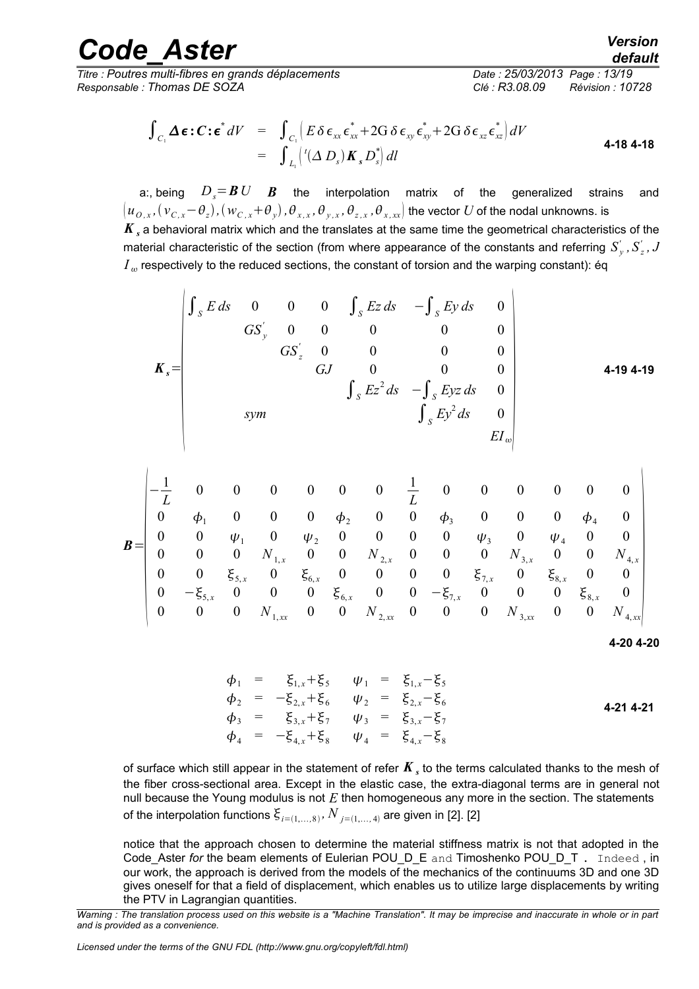*Titre : Poutres multi-fibres en grands déplacements Date : 25/03/2013 Page : 13/19 Responsable : Thomas DE SOZA Clé : R3.08.09 Révision : 10728*

$$
\int_{C_1} \Delta \boldsymbol{\epsilon} : \mathbf{C} : \boldsymbol{\epsilon}^* dV = \int_{C_1} \left( E \delta \boldsymbol{\epsilon}_{xx} \boldsymbol{\epsilon}_{xx}^* + 2G \delta \boldsymbol{\epsilon}_{xy} \boldsymbol{\epsilon}_{xy}^* + 2G \delta \boldsymbol{\epsilon}_{xz} \boldsymbol{\epsilon}_{xz}^* \right) dV
$$
\n
$$
= \int_{L_1} \left( \frac{I(\Delta D_s) \mathbf{K}_s D_s^*}{2} \right) dI
$$
\n4-18 4-18

a:, being  $D_s = B U$  *B* the interpolation matrix of the generalized strains and  $(u_{O,x},(v_{C,x}{-}\theta_z),(w_{C,x}{+}\theta_y),\theta_{x,x},\theta_{y,x},\theta_{z,x},\theta_{x,xx}]$  the vector  $U$  of the nodal unknowns. is  $K_s$  a behavioral matrix which and the translates at the same time the geometrical characteristics of the material characteristic of the section (from where appearance of the constants and referring  $S_{y}^{'}$  ,  $S_{z}^{'}$  ,  $J$  $I_{\omega}$  respectively to the reduced sections, the constant of torsion and the warping constant): éq

$$
\mathbf{K}_{s} = \begin{pmatrix} \int_{S} E \, ds & 0 & 0 & 0 & \int_{S} Ez \, ds & -\int_{S} Ey \, ds & 0 \\ GS_{y}^{'} & 0 & 0 & 0 & 0 & 0 \\ GS_{z}^{'} & 0 & 0 & 0 & 0 & 0 \\ GJ & 0 & 0 & 0 & 0 & 0 \\ \int_{S} Ez^{2} \, ds & -\int_{S} Eyz \, ds & 0 \\ Sym & \int_{S} Ey^{2} \, ds & 0 \\ EI_{\omega} & 0 & EI_{\omega} \end{pmatrix}
$$

$$
\mathbf{B} = \begin{bmatrix}\n-\frac{1}{L} & 0 & 0 & 0 & 0 & 0 & \frac{1}{L} & 0 & 0 & 0 & 0 & 0 & 0 \\
0 & \phi_1 & 0 & 0 & 0 & \phi_2 & 0 & 0 & \phi_3 & 0 & 0 & \phi_4 & 0 \\
0 & 0 & \psi_1 & 0 & \psi_2 & 0 & 0 & 0 & \psi_3 & 0 & \psi_4 & 0 & 0 \\
0 & 0 & 0 & N_{1,x} & 0 & 0 & N_{2,x} & 0 & 0 & 0 & N_{3,x} & 0 & 0 & N_{4,x} \\
0 & 0 & \xi_{5,x} & 0 & \xi_{6,x} & 0 & 0 & 0 & 0 & \xi_{7,x} & 0 & \xi_{8,x} & 0 & 0 \\
0 & -\xi_{5,x} & 0 & 0 & 0 & \xi_{6,x} & 0 & 0 & -\xi_{7,x} & 0 & 0 & 0 & \xi_{8,x} & 0 \\
0 & 0 & 0 & N_{1,xx} & 0 & 0 & N_{2,xx} & 0 & 0 & 0 & N_{3,xx} & 0 & 0 & N_{4,xx}\n\end{bmatrix}
$$

<span id="page-12-0"></span>
$$
4-20\;4-20
$$

$$
\begin{array}{rcl}\n\phi_1 & = & \xi_{1,x} + \xi_5 \\
\phi_2 & = & -\xi_{2,x} + \xi_6 \\
\phi_3 & = & \xi_{3,x} + \xi_7 \\
\phi_4 & = & -\xi_{4,x} + \xi_8 \\
\psi_5 & = & \xi_{4,x} - \xi_7\n\end{array}
$$
\n
$$
\begin{array}{rcl}\n\psi_1 & = & \xi_{1,x} - \xi_5 \\
\psi_2 & = & \xi_{2,x} - \xi_6 \\
\psi_3 & = & \xi_{3,x} - \xi_7\n\end{array}
$$
\n
$$
\begin{array}{rcl}\n4\text{-}214\text{-}21 \\
4\text{-}214\text{-}21 \\
\psi_4 & = & \xi_{4,x} - \xi_8\n\end{array}
$$

of surface which still appear in the statement of refer  $\pmb{K}_s$  to the terms calculated thanks to the mesh of the fiber cross-sectional area. Except in the elastic case, the extra-diagonal terms are in general not null because the Young modulus is not *E* then homogeneous any more in the section. The statements of the interpolation functions  $\xi_{\scriptscriptstyle i=(1,...,8)},$   $N$   $_{\scriptscriptstyle j=(1,...,4)}$  are given in [2]. [2]

notice that the approach chosen to determine the material stiffness matrix is not that adopted in the Code\_Aster *for* the beam elements of Eulerian POU\_D\_E and Timoshenko POU\_D\_T . Indeed , in our work, the approach is derived from the models of the mechanics of the continuums 3D and one 3D gives oneself for that a field of displacement, which enables us to utilize large displacements by writing the PTV in Lagrangian quantities.

*Warning : The translation process used on this website is a "Machine Translation". It may be imprecise and inaccurate in whole or in part and is provided as a convenience.*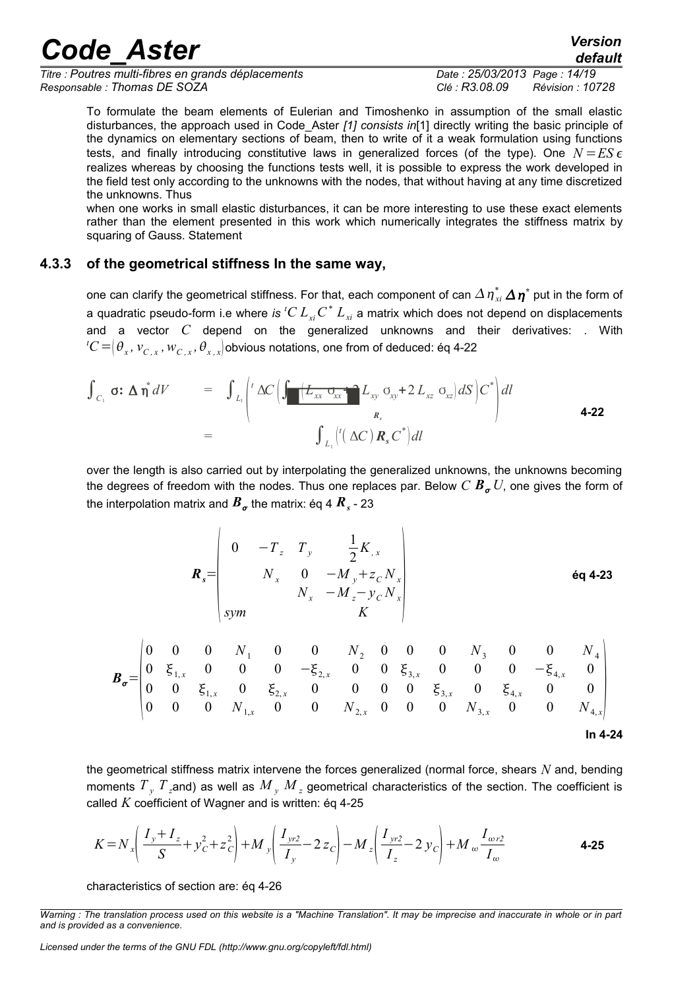*Titre : Poutres multi-fibres en grands déplacements Date : 25/03/2013 Page : 14/19 Responsable : Thomas DE SOZA Clé : R3.08.09 Révision : 10728*

*default*

To formulate the beam elements of Eulerian and Timoshenko in assumption of the small elastic disturbances, the approach used in Code\_Aster *[1] consists in*[1] directly writing the basic principle of the dynamics on elementary sections of beam, then to write of it a weak formulation using functions tests, and finally introducing constitutive laws in generalized forces (of the type). One  $N = ES \epsilon$ realizes whereas by choosing the functions tests well, it is possible to express the work developed in the field test only according to the unknowns with the nodes, that without having at any time discretized the unknowns. Thus

when one works in small elastic disturbances, it can be more interesting to use these exact elements rather than the element presented in this work which numerically integrates the stiffness matrix by squaring of Gauss. Statement

#### **4.3.3 of the geometrical stiffness In the same way,**

one can clarify the geometrical stiffness. For that, each component of can  $\varDelta\,\eta^*_{_{xi}}\,\varDelta\,\eta^*$  put in the form of a quadratic pseudo-form i.e where *is*  $^tC\, L_{\scriptscriptstyle xi}C^*\, L_{\scriptscriptstyle xi}$  a matrix which does not depend on displacements and a vector *C* depend on the generalized unknowns and their derivatives: . With  ${}^tC$   $=$   $(\theta_x^{}, v_{C,x}^{}, w_{C,x}^{}, \theta_{x,x}^{})$ obvious notations, one from of deduced: éq 4-22

<span id="page-13-0"></span>of the geometrical stiffness In the same way,  
\none can clarify the geometrical stiffness. For that, each component of can 
$$
\Delta \eta_{xi}^* \Delta \eta^*
$$
 put in the form  
\na quadratic pseudo-form i.e where *is*  ${^cC L_{xi} C^* L_{xi}}$  a matrix which does not depend on displacement  
\nand a vector *C* depend on the generalized unknowns and their derivatives: . W  
\n ${^cC} = (\theta_x, v_{C,x}, w_{C,x}, \theta_{x,x})$ obvious notations, one from of deduced:  $\text{Eq } 4-22$   
\n
$$
\int_{C_1} \sigma: \Delta \eta^* dV = \int_{L_1} \int_{L_1}^{L_2} \Delta C \Big( \int_{-\Delta x}^{+\Delta x} \frac{1}{2x} L_{xy} \sigma_{xy} + 2 L_{xz} \sigma_{xz} dS \Big) C^* \Big) dI
$$
\n
$$
= \int_{L_1} \int_{L_1}^{L_2} \Delta C \Big( \int_{-\Delta x}^{+\Delta x} \frac{1}{2x} L_{xy} \sigma_{xy} + 2 L_{xz} \sigma_{xz} dS \Big) C^* \Big) dI
$$
\n
$$
= \int_{L_1} \int_{L_2}^{L_1} \left( (\Delta C) R_s C^* \Big) dI
$$

over the length is also carried out by interpolating the generalized unknowns, the unknowns becoming the degrees of freedom with the nodes. Thus one replaces par. Below  $C B_{\sigma} U$ , one gives the form of the interpolation matrix and  $\boldsymbol{B}_{\boldsymbol{\sigma}}$  the matrix: éq 4  $\boldsymbol{R}_s$  - 23

$$
\boldsymbol{R}_{s} = \begin{vmatrix}\n0 & -T_{z} & T_{y} & \frac{1}{2}K_{,x} \\
N_{x} & 0 & -M_{y} + z_{C}N_{x} \\
N_{x} & -M_{z} - y_{C}N_{x} \\
K\n\end{vmatrix}
$$
\n6q 4-23

$$
\boldsymbol{B}_{\sigma} = \begin{pmatrix}\n0 & 0 & 0 & N_1 & 0 & 0 & N_2 & 0 & 0 & 0 & N_3 & 0 & 0 & N_4 \\
0 & \xi_{1,x} & 0 & 0 & 0 & -\xi_{2,x} & 0 & 0 & \xi_{3,x} & 0 & 0 & 0 & -\xi_{4,x} & 0 \\
0 & 0 & \xi_{1,x} & 0 & \xi_{2,x} & 0 & 0 & 0 & 0 & \xi_{3,x} & 0 & \xi_{4,x} & 0 & 0 \\
0 & 0 & 0 & N_{1,x} & 0 & 0 & N_{2,x} & 0 & 0 & 0 & N_{3,x} & 0 & 0 & N_{4,x}\n\end{pmatrix}
$$
\nIn 4-24

the geometrical stiffness matrix intervene the forces generalized (normal force, shears *N* and, bending moments  $T$   $_{y}$   $T$  <sub>z</sub>and) as well as  $M$   $_{y}$   $M$   $_{z}$  geometrical characteristics of the section. The coefficient is called *K* coefficient of Wagner and is written: éq 4-25

<span id="page-13-1"></span>
$$
K = N_x \left( \frac{I_y + I_z}{S} + y_C^2 + z_C^2 \right) + M_y \left( \frac{I_{yr2}}{I_y} - 2 z_C \right) - M_z \left( \frac{I_{yr2}}{I_z} - 2 y_C \right) + M_w \frac{I_{wr2}}{I_w}
$$
 **4-25**

characteristics of section are: éq 4-26

*Warning : The translation process used on this website is a "Machine Translation". It may be imprecise and inaccurate in whole or in part and is provided as a convenience.*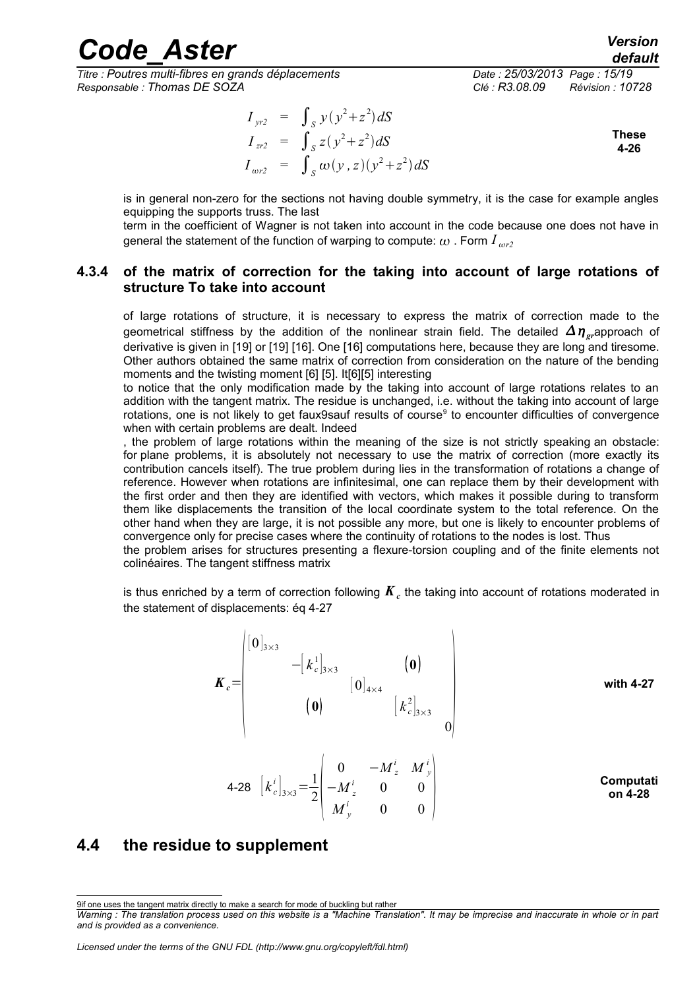*Titre : Poutres multi-fibres en grands déplacements Date : 25/03/2013 Page : 15/19 Responsable : Thomas DE SOZA Clé : R3.08.09 Révision : 10728*

*default*

 $I_{\text{yr2}} = \int_{S} y(y^2 + z^2) dS$  $I_{zr2} = \int_S z(y^2 + z^2) dS$  $I_{\omega r2} = \int_{S} \omega(y, z)(y^2 + z^2) dS$ **These 4-26**

is in general non-zero for the sections not having double symmetry, it is the case for example angles equipping the supports truss. The last

<span id="page-14-1"></span>term in the coefficient of Wagner is not taken into account in the code because one does not have in general the statement of the function of warping to compute:  $\omega$ . Form  $I_{\omega r2}$ 

#### **4.3.4 of the matrix of correction for the taking into account of large rotations of structure To take into account**

of large rotations of structure, it is necessary to express the matrix of correction made to the geometrical stiffness by the addition of the nonlinear strain field. The detailed  $\Delta \eta$ <sub>ar</sub>approach of derivative is given in [19] or [19] [16]. One [16] computations here, because they are long and tiresome. Other authors obtained the same matrix of correction from consideration on the nature of the bending moments and the twisting moment [6] [5]. It[6][5] interesting

to notice that the only modification made by the taking into account of large rotations relates to an addition with the tangent matrix. The residue is unchanged, i.e. without the taking into account of large rotations, one is not likely to get faux[9](#page-14-2)sauf results of course<sup>9</sup> to encounter difficulties of convergence when with certain problems are dealt. Indeed

, the problem of large rotations within the meaning of the size is not strictly speaking an obstacle: for plane problems, it is absolutely not necessary to use the matrix of correction (more exactly its contribution cancels itself). The true problem during lies in the transformation of rotations a change of reference. However when rotations are infinitesimal, one can replace them by their development with the first order and then they are identified with vectors, which makes it possible during to transform them like displacements the transition of the local coordinate system to the total reference. On the other hand when they are large, it is not possible any more, but one is likely to encounter problems of convergence only for precise cases where the continuity of rotations to the nodes is lost. Thus

the problem arises for structures presenting a flexure-torsion coupling and of the finite elements not colinéaires. The tangent stiffness matrix

is thus enriched by a term of correction following  $\pmb{K}_c$  the taking into account of rotations moderated in the statement of displacements: éq 4-27

|         | $ 0 _{3\times 3}$ |                         |                    |                       |  |           |  |
|---------|-------------------|-------------------------|--------------------|-----------------------|--|-----------|--|
|         |                   | $- [k_c^1]_{3\times 3}$ |                    | $\boldsymbol{0}$      |  |           |  |
| $K_c =$ |                   |                         | $[0]_{4\times4}$   |                       |  | with 4-27 |  |
|         |                   | $\boldsymbol{0}$        |                    | $[k_c^2]_{3\times 3}$ |  |           |  |
|         |                   |                         |                    |                       |  |           |  |
|         |                   |                         | 0 $-M^{i}$ $M^{i}$ |                       |  |           |  |

<span id="page-14-3"></span>4-28 
$$
\begin{bmatrix} k_c^i \end{bmatrix}_{3\times 3} = \frac{1}{2} \begin{bmatrix} 0 & -M_z^i & M_y^i \\ -M_z^i & 0 & 0 \\ M_y^i & 0 & 0 \end{bmatrix}
$$
 **Computati on 4-28**

#### <span id="page-14-0"></span>**4.4 the residue to supplement**

<span id="page-14-2"></span><sup>9</sup>if one uses the tangent matrix directly to make a search for mode of buckling but rather

*Warning : The translation process used on this website is a "Machine Translation". It may be imprecise and inaccurate in whole or in part and is provided as a convenience.*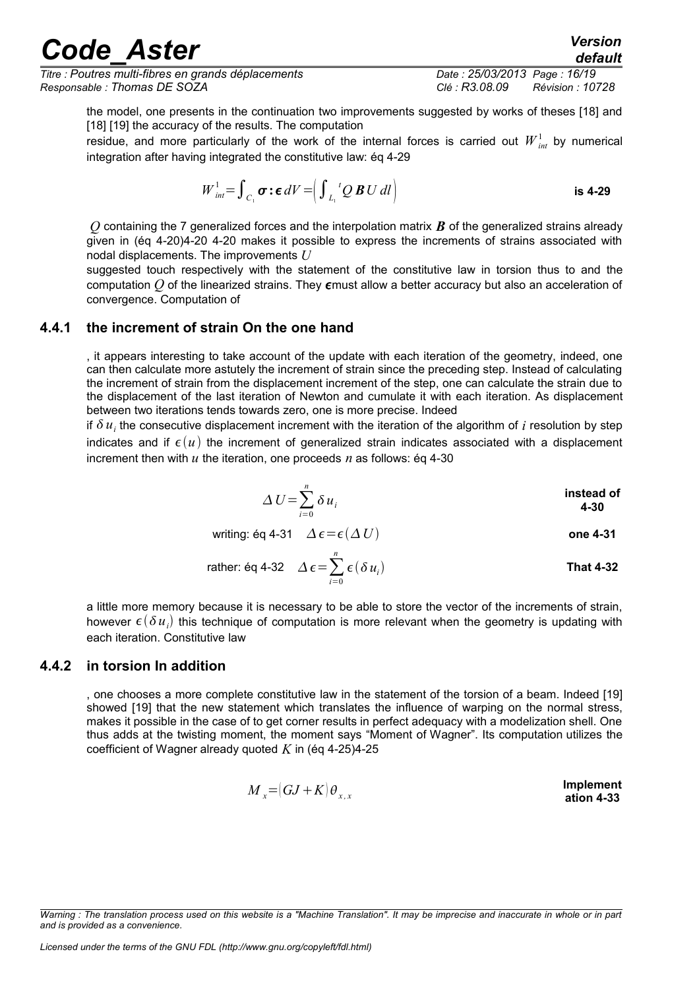*Titre : Poutres multi-fibres en grands déplacements Date : 25/03/2013 Page : 16/19 Responsable : Thomas DE SOZA Clé : R3.08.09 Révision : 10728*

*default*

the model, one presents in the continuation two improvements suggested by works of theses [18] and [18] [19] the accuracy of the results. The computation

residue, and more particularly of the work of the internal forces is carried out  $W_{_{int}}^{1}$  by numerical integration after having integrated the constitutive law: ég 4-29

$$
W_{int}^{1} = \int_{C_1} \sigma : \epsilon \, dV = \left( \int_{L_1}^{t} Q \, B \, U \, dl \right) \qquad \qquad \text{is 4-29}
$$

*Q* containing the 7 generalized forces and the interpolation matrix *B* of the generalized strains already given in (éq 4-20[\)4-20 4-20](#page-12-0) makes it possible to express the increments of strains associated with nodal displacements. The improvements *U*

suggested touch respectively with the statement of the constitutive law in torsion thus to and the computation  $Q$  of the linearized strains. They  $\epsilon$  must allow a better accuracy but also an acceleration of convergence. Computation of

#### **4.4.1 the increment of strain On the one hand**

<span id="page-15-1"></span>, it appears interesting to take account of the update with each iteration of the geometry, indeed, one can then calculate more astutely the increment of strain since the preceding step. Instead of calculating the increment of strain from the displacement increment of the step, one can calculate the strain due to the displacement of the last iteration of Newton and cumulate it with each iteration. As displacement between two iterations tends towards zero, one is more precise. Indeed

if  $\delta u_i$  the consecutive displacement increment with the iteration of the algorithm of  $i$  resolution by step indicates and if  $\epsilon(u)$  the increment of generalized strain indicates associated with a displacement increment then with  $u$  the iteration, one proceeds  $n$  as follows: éq 4-30

$$
\Delta U = \sum_{i=0}^{n} \delta u_i
$$
 instead of 4-30

writing: éq 4-31  $\Delta \epsilon = \epsilon (\Delta U)$  one 4-31

rather: éq 4-32 
$$
\Delta \epsilon = \sum_{i=0}^{n} \epsilon (\delta u_i)
$$
 That 4-32

a little more memory because it is necessary to be able to store the vector of the increments of strain, however  $\epsilon(\delta u_i)$  this technique of computation is more relevant when the geometry is updating with each iteration. Constitutive law

#### **4.4.2 in torsion In addition**

<span id="page-15-0"></span>, one chooses a more complete constitutive law in the statement of the torsion of a beam. Indeed [19] showed [19] that the new statement which translates the influence of warping on the normal stress, makes it possible in the case of to get corner results in perfect adequacy with a modelization shell. One thus adds at the twisting moment, the moment says "Moment of Wagner". Its computation utilizes the coefficient of Wagner already quoted *K* in (éq 4-25[\)4-25](#page-13-1)

$$
M_x = (GJ + K)\theta_{x,x}
$$
 **Implementation 4-33**

*Warning : The translation process used on this website is a "Machine Translation". It may be imprecise and inaccurate in whole or in part and is provided as a convenience.*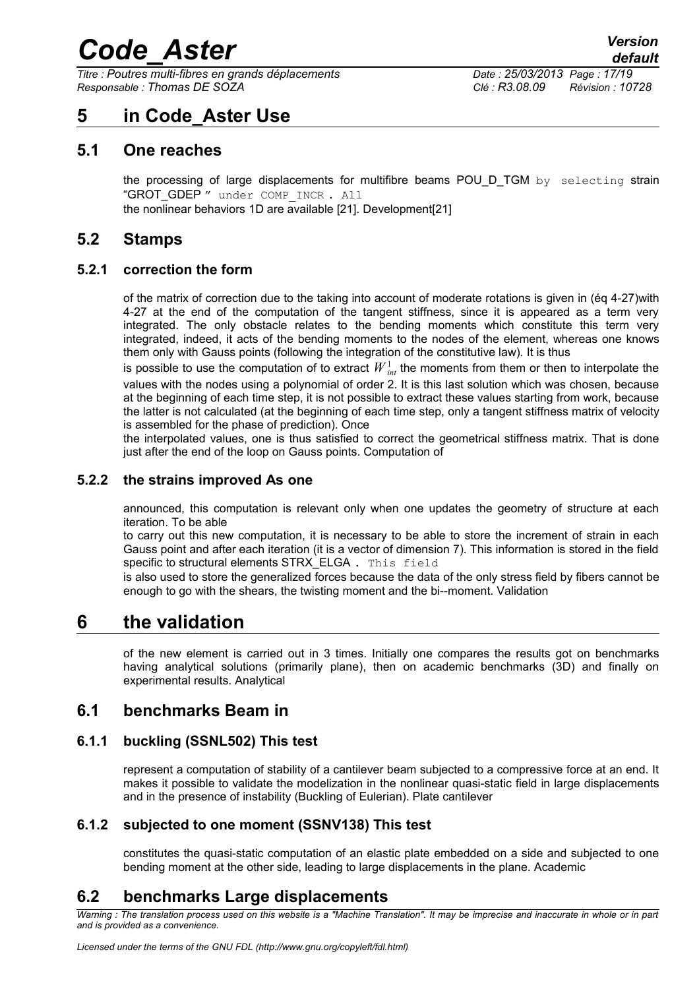*Titre : Poutres multi-fibres en grands déplacements Date : 25/03/2013 Page : 17/19 Responsable : Thomas DE SOZA Clé : R3.08.09 Révision : 10728*

*default*

### <span id="page-16-9"></span>**5 in Code\_Aster Use**

#### **5.1 One reaches**

<span id="page-16-8"></span>the processing of large displacements for multifibre beams POU D TGM by selecting strain "GROT\_GDEP " under COMP\_INCR . All the nonlinear behaviors 1D are available [21]. Development[21]

<span id="page-16-7"></span>**5.2 Stamps**

#### **5.2.1 correction the form**

<span id="page-16-6"></span>of the matrix of correction due to the taking into account of moderate rotations is given in (éq 4-27[\)with](#page-14-3) [4-27](#page-14-3) at the end of the computation of the tangent stiffness, since it is appeared as a term very integrated. The only obstacle relates to the bending moments which constitute this term very integrated, indeed, it acts of the bending moments to the nodes of the element, whereas one knows them only with Gauss points (following the integration of the constitutive law). It is thus

is possible to use the computation of to extract  ${W}_{int}^1$  the moments from them or then to interpolate the values with the nodes using a polynomial of order 2. It is this last solution which was chosen, because at the beginning of each time step, it is not possible to extract these values starting from work, because the latter is not calculated (at the beginning of each time step, only a tangent stiffness matrix of velocity is assembled for the phase of prediction). Once

the interpolated values, one is thus satisfied to correct the geometrical stiffness matrix. That is done just after the end of the loop on Gauss points. Computation of

#### **5.2.2 the strains improved As one**

<span id="page-16-5"></span>announced, this computation is relevant only when one updates the geometry of structure at each iteration. To be able

to carry out this new computation, it is necessary to be able to store the increment of strain in each Gauss point and after each iteration (it is a vector of dimension 7). This information is stored in the field specific to structural elements STRX\_ELGA. This field

is also used to store the generalized forces because the data of the only stress field by fibers cannot be enough to go with the shears, the twisting moment and the bi--moment. Validation

### **6 the validation**

<span id="page-16-4"></span>of the new element is carried out in 3 times. Initially one compares the results got on benchmarks having analytical solutions (primarily plane), then on academic benchmarks (3D) and finally on experimental results. Analytical

#### <span id="page-16-3"></span>**6.1 benchmarks Beam in**

#### **6.1.1 buckling (SSNL502) This test**

<span id="page-16-2"></span>represent a computation of stability of a cantilever beam subjected to a compressive force at an end. It makes it possible to validate the modelization in the nonlinear quasi-static field in large displacements and in the presence of instability (Buckling of Eulerian). Plate cantilever

#### **6.1.2 subjected to one moment (SSNV138) This test**

<span id="page-16-1"></span><span id="page-16-0"></span>constitutes the quasi-static computation of an elastic plate embedded on a side and subjected to one bending moment at the other side, leading to large displacements in the plane. Academic

### **6.2 benchmarks Large displacements**

*Warning : The translation process used on this website is a "Machine Translation". It may be imprecise and inaccurate in whole or in part and is provided as a convenience.*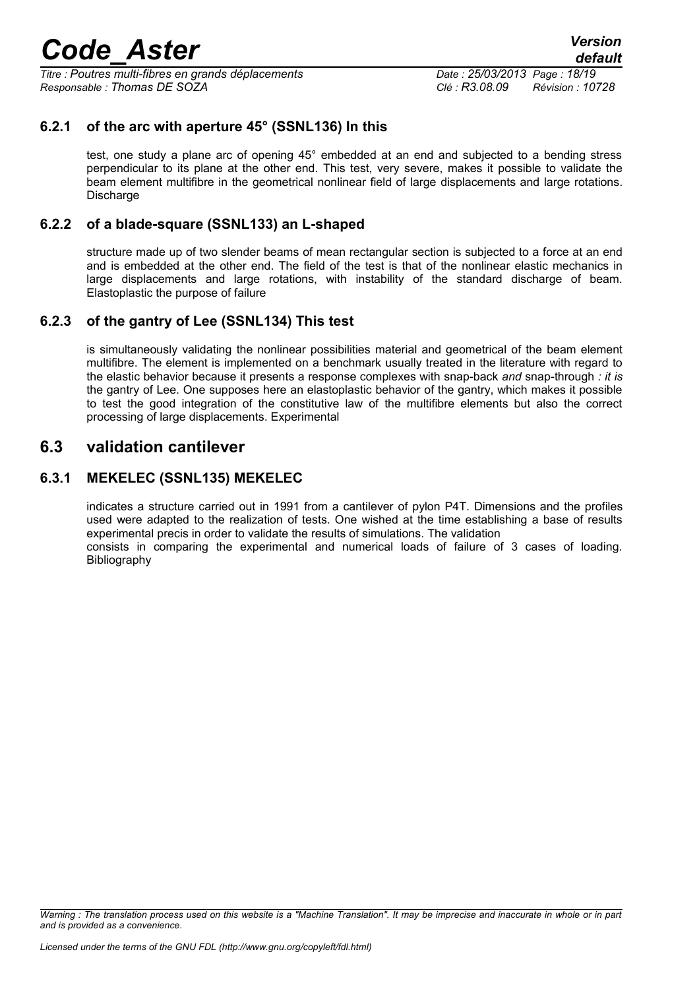*Titre : Poutres multi-fibres en grands déplacements Date : 25/03/2013 Page : 18/19 Responsable : Thomas DE SOZA Clé : R3.08.09 Révision : 10728*

#### **6.2.1 of the arc with aperture 45° (SSNL136) In this**

<span id="page-17-1"></span>test, one study a plane arc of opening 45° embedded at an end and subjected to a bending stress perpendicular to its plane at the other end. This test, very severe, makes it possible to validate the beam element multifibre in the geometrical nonlinear field of large displacements and large rotations. Discharge

#### **6.2.2 of a blade-square (SSNL133) an L-shaped**

<span id="page-17-0"></span>structure made up of two slender beams of mean rectangular section is subjected to a force at an end and is embedded at the other end. The field of the test is that of the nonlinear elastic mechanics in large displacements and large rotations, with instability of the standard discharge of beam. Elastoplastic the purpose of failure

#### **6.2.3 of the gantry of Lee (SSNL134) This test**

<span id="page-17-4"></span>is simultaneously validating the nonlinear possibilities material and geometrical of the beam element multifibre. The element is implemented on a benchmark usually treated in the literature with regard to the elastic behavior because it presents a response complexes with snap-back *and* snap-through *: it is* the gantry of Lee. One supposes here an elastoplastic behavior of the gantry, which makes it possible to test the good integration of the constitutive law of the multifibre elements but also the correct processing of large displacements. Experimental

#### <span id="page-17-3"></span>**6.3 validation cantilever**

#### **6.3.1 MEKELEC (SSNL135) MEKELEC**

<span id="page-17-2"></span>indicates a structure carried out in 1991 from a cantilever of pylon P4T. Dimensions and the profiles used were adapted to the realization of tests. One wished at the time establishing a base of results experimental precis in order to validate the results of simulations. The validation consists in comparing the experimental and numerical loads of failure of 3 cases of loading.

**Bibliography** 

*Warning : The translation process used on this website is a "Machine Translation". It may be imprecise and inaccurate in whole or in part and is provided as a convenience.*